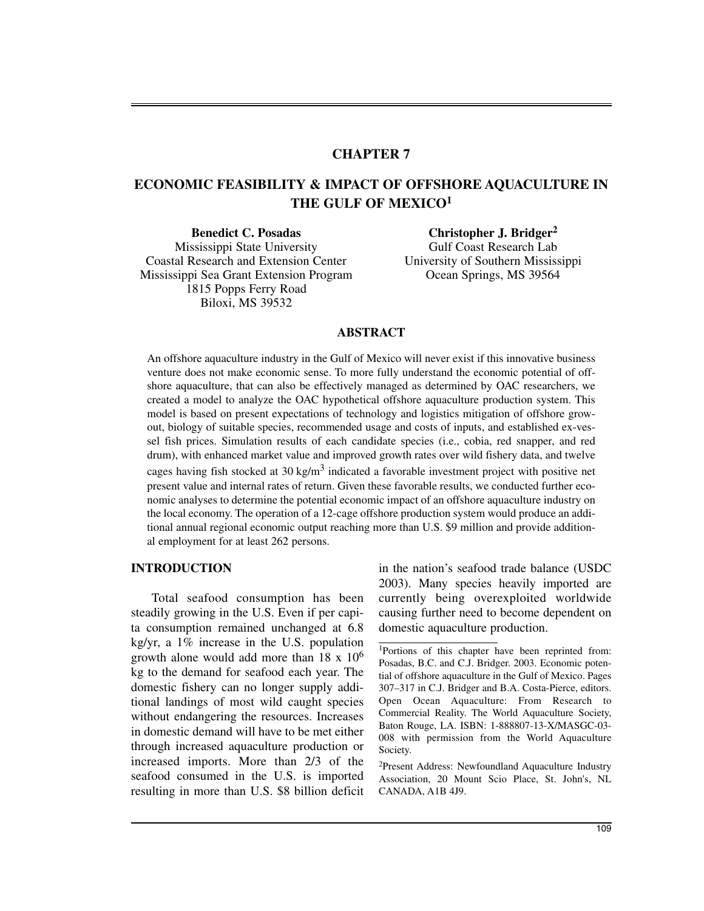# **CHAPTER 7**

# **ECONOMIC FEASIBILITY & IMPACT OF OFFSHORE AQUACULTURE IN THE GULF OF MEXICO<sup>1</sup>**

Mississippi State University Gulf Coast Research Lab Coastal Research and Extension Center University of Southern Mississippi Mississippi Sea Grant Extension Program Ocean Springs, MS 39564 1815 Popps Ferry Road Biloxi, MS 39532

**Benedict C. Posadas Christopher J. Bridger<sup>2</sup>**

## **ABSTRACT**

An offshore aquaculture industry in the Gulf of Mexico will never exist if this innovative business venture does not make economic sense. To more fully understand the economic potential of offshore aquaculture, that can also be effectively managed as determined by OAC researchers, we created a model to analyze the OAC hypothetical offshore aquaculture production system. This model is based on present expectations of technology and logistics mitigation of offshore growout, biology of suitable species, recommended usage and costs of inputs, and established ex-vessel fish prices. Simulation results of each candidate species (i.e., cobia, red snapper, and red drum), with enhanced market value and improved growth rates over wild fishery data, and twelve cages having fish stocked at 30 kg/m<sup>3</sup> indicated a favorable investment project with positive net present value and internal rates of return. Given these favorable results, we conducted further economic analyses to determine the potential economic impact of an offshore aquaculture industry on the local economy. The operation of a 12-cage offshore production system would produce an additional annual regional economic output reaching more than U.S. \$9 million and provide additional employment for at least 262 persons.

# **INTRODUCTION**

Total seafood consumption has been steadily growing in the U.S. Even if per capita consumption remained unchanged at 6.8 kg/yr, a 1% increase in the U.S. population growth alone would add more than  $18 \times 10^6$ kg to the demand for seafood each year. The domestic fishery can no longer supply additional landings of most wild caught species without endangering the resources. Increases in domestic demand will have to be met either through increased aquaculture production or increased imports. More than 2/3 of the seafood consumed in the U.S. is imported resulting in more than U.S. \$8 billion deficit in the nation's seafood trade balance (USDC 2003). Many species heavily imported are currently being overexploited worldwide causing further need to become dependent on domestic aquaculture production.

2Present Address: Newfoundland Aquaculture Industry Association, 20 Mount Scio Place, St. John's, NL CANADA, A1B 4J9.

<sup>1</sup>Portions of this chapter have been reprinted from: Posadas, B.C. and C.J. Bridger. 2003. Economic potential of offshore aquaculture in the Gulf of Mexico. Pages 307–317 in C.J. Bridger and B.A. Costa-Pierce, editors. Open Ocean Aquaculture: From Research to Commercial Reality. The World Aquaculture Society, Baton Rouge, LA. ISBN: 1-888807-13-X/MASGC-03- 008 with permission from the World Aquaculture Society.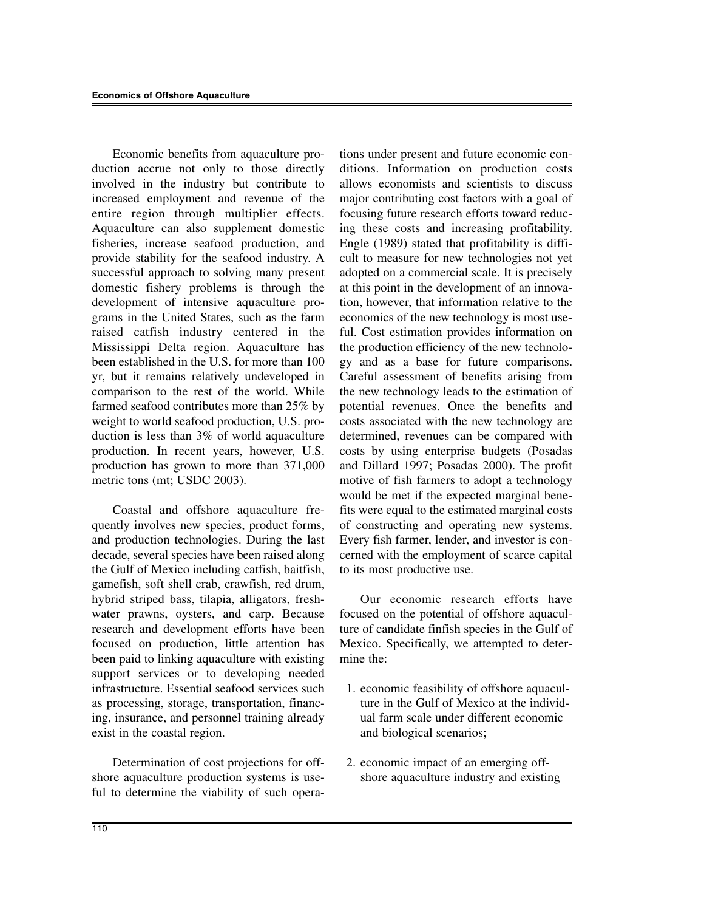Economic benefits from aquaculture production accrue not only to those directly involved in the industry but contribute to increased employment and revenue of the entire region through multiplier effects. Aquaculture can also supplement domestic fisheries, increase seafood production, and provide stability for the seafood industry. A successful approach to solving many present domestic fishery problems is through the development of intensive aquaculture programs in the United States, such as the farm raised catfish industry centered in the Mississippi Delta region. Aquaculture has been established in the U.S. for more than 100 yr, but it remains relatively undeveloped in comparison to the rest of the world. While farmed seafood contributes more than 25% by weight to world seafood production, U.S. production is less than 3% of world aquaculture production. In recent years, however, U.S. production has grown to more than 371,000 metric tons (mt; USDC 2003).

Coastal and offshore aquaculture frequently involves new species, product forms, and production technologies. During the last decade, several species have been raised along the Gulf of Mexico including catfish, baitfish, gamefish, soft shell crab, crawfish, red drum, hybrid striped bass, tilapia, alligators, freshwater prawns, oysters, and carp. Because research and development efforts have been focused on production, little attention has been paid to linking aquaculture with existing support services or to developing needed infrastructure. Essential seafood services such as processing, storage, transportation, financing, insurance, and personnel training already exist in the coastal region.

Determination of cost projections for offshore aquaculture production systems is useful to determine the viability of such operations under present and future economic conditions. Information on production costs allows economists and scientists to discuss major contributing cost factors with a goal of focusing future research efforts toward reducing these costs and increasing profitability. Engle (1989) stated that profitability is difficult to measure for new technologies not yet adopted on a commercial scale. It is precisely at this point in the development of an innovation, however, that information relative to the economics of the new technology is most useful. Cost estimation provides information on the production efficiency of the new technology and as a base for future comparisons. Careful assessment of benefits arising from the new technology leads to the estimation of potential revenues. Once the benefits and costs associated with the new technology are determined, revenues can be compared with costs by using enterprise budgets (Posadas and Dillard 1997; Posadas 2000). The profit motive of fish farmers to adopt a technology would be met if the expected marginal benefits were equal to the estimated marginal costs of constructing and operating new systems. Every fish farmer, lender, and investor is concerned with the employment of scarce capital to its most productive use.

Our economic research efforts have focused on the potential of offshore aquaculture of candidate finfish species in the Gulf of Mexico. Specifically, we attempted to determine the:

- 1. economic feasibility of offshore aquaculture in the Gulf of Mexico at the individual farm scale under different economic and biological scenarios;
- 2. economic impact of an emerging offshore aquaculture industry and existing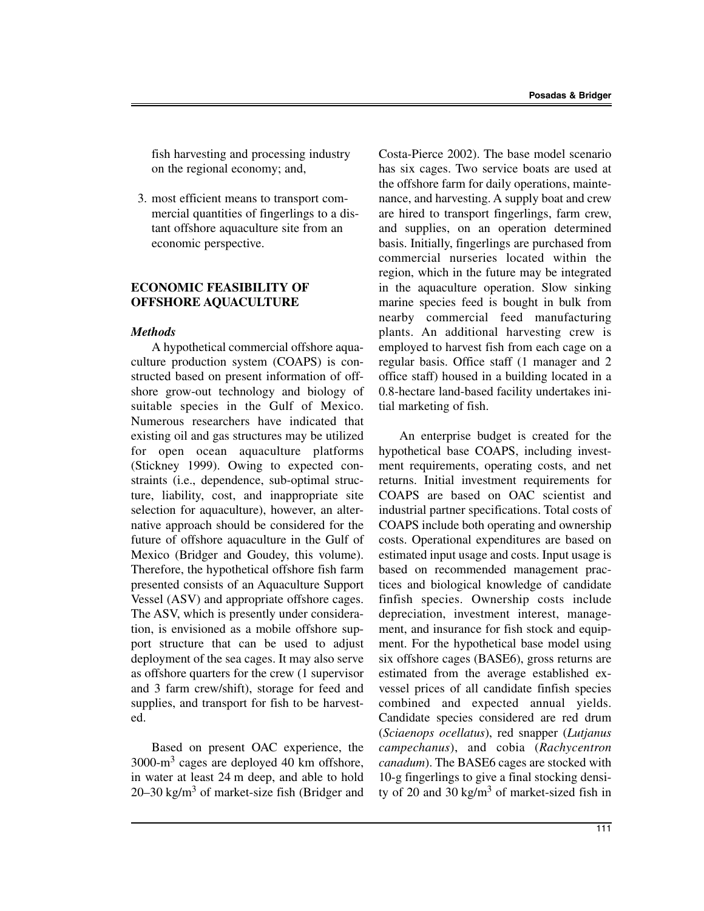fish harvesting and processing industry on the regional economy; and,

3. most efficient means to transport commercial quantities of fingerlings to a distant offshore aquaculture site from an economic perspective.

## **ECONOMIC FEASIBILITY OF OFFSHORE AQUACULTURE**

#### *Methods*

A hypothetical commercial offshore aquaculture production system (COAPS) is constructed based on present information of offshore grow-out technology and biology of suitable species in the Gulf of Mexico. Numerous researchers have indicated that existing oil and gas structures may be utilized for open ocean aquaculture platforms (Stickney 1999). Owing to expected constraints (i.e., dependence, sub-optimal structure, liability, cost, and inappropriate site selection for aquaculture), however, an alternative approach should be considered for the future of offshore aquaculture in the Gulf of Mexico (Bridger and Goudey, this volume). Therefore, the hypothetical offshore fish farm presented consists of an Aquaculture Support Vessel (ASV) and appropriate offshore cages. The ASV, which is presently under consideration, is envisioned as a mobile offshore support structure that can be used to adjust deployment of the sea cages. It may also serve as offshore quarters for the crew (1 supervisor and 3 farm crew/shift), storage for feed and supplies, and transport for fish to be harvested.

Based on present OAC experience, the 3000-m<sup>3</sup> cages are deployed 40 km offshore, in water at least 24 m deep, and able to hold 20–30 kg/m<sup>3</sup> of market-size fish (Bridger and

Costa-Pierce 2002). The base model scenario has six cages. Two service boats are used at the offshore farm for daily operations, maintenance, and harvesting. A supply boat and crew are hired to transport fingerlings, farm crew, and supplies, on an operation determined basis. Initially, fingerlings are purchased from commercial nurseries located within the region, which in the future may be integrated in the aquaculture operation. Slow sinking marine species feed is bought in bulk from nearby commercial feed manufacturing plants. An additional harvesting crew is employed to harvest fish from each cage on a regular basis. Office staff (1 manager and 2 office staff) housed in a building located in a 0.8-hectare land-based facility undertakes initial marketing of fish.

An enterprise budget is created for the hypothetical base COAPS, including investment requirements, operating costs, and net returns. Initial investment requirements for COAPS are based on OAC scientist and industrial partner specifications. Total costs of COAPS include both operating and ownership costs. Operational expenditures are based on estimated input usage and costs. Input usage is based on recommended management practices and biological knowledge of candidate finfish species. Ownership costs include depreciation, investment interest, management, and insurance for fish stock and equipment. For the hypothetical base model using six offshore cages (BASE6), gross returns are estimated from the average established exvessel prices of all candidate finfish species combined and expected annual yields. Candidate species considered are red drum (*Sciaenops ocellatus*), red snapper (*Lutjanus campechanus*), and cobia (*Rachycentron canadum*). The BASE6 cages are stocked with 10-g fingerlings to give a final stocking density of 20 and 30 kg/m<sup>3</sup> of market-sized fish in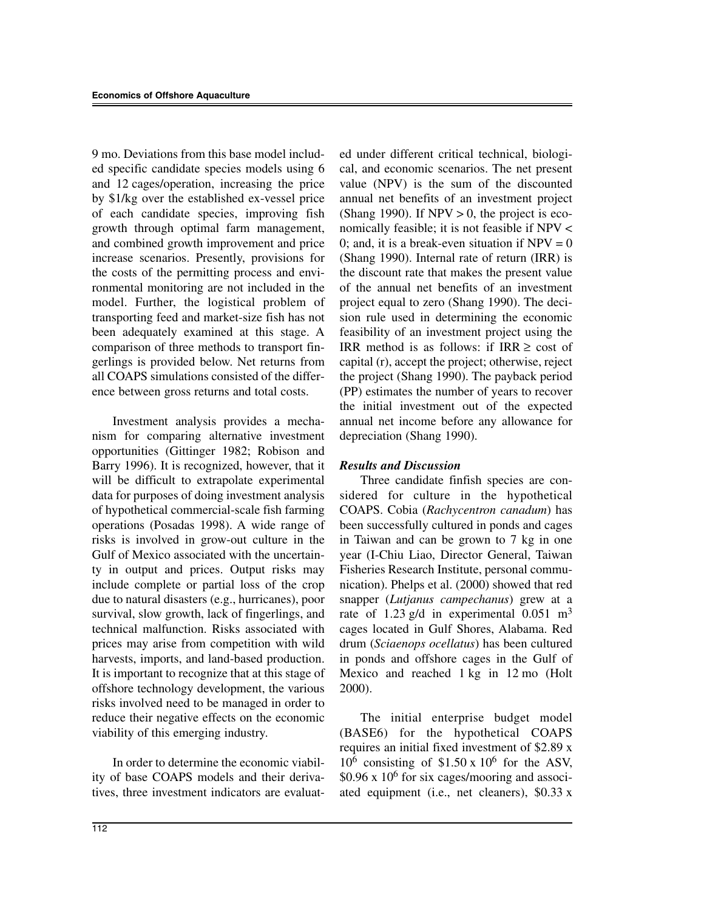9 mo. Deviations from this base model included specific candidate species models using 6 and 12 cages/operation, increasing the price by \$1/kg over the established ex-vessel price of each candidate species, improving fish growth through optimal farm management, and combined growth improvement and price increase scenarios. Presently, provisions for the costs of the permitting process and environmental monitoring are not included in the model. Further, the logistical problem of transporting feed and market-size fish has not been adequately examined at this stage. A comparison of three methods to transport fingerlings is provided below. Net returns from all COAPS simulations consisted of the difference between gross returns and total costs.

Investment analysis provides a mechanism for comparing alternative investment opportunities (Gittinger 1982; Robison and Barry 1996). It is recognized, however, that it will be difficult to extrapolate experimental data for purposes of doing investment analysis of hypothetical commercial-scale fish farming operations (Posadas 1998). A wide range of risks is involved in grow-out culture in the Gulf of Mexico associated with the uncertainty in output and prices. Output risks may include complete or partial loss of the crop due to natural disasters (e.g., hurricanes), poor survival, slow growth, lack of fingerlings, and technical malfunction. Risks associated with prices may arise from competition with wild harvests, imports, and land-based production. It is important to recognize that at this stage of offshore technology development, the various risks involved need to be managed in order to reduce their negative effects on the economic viability of this emerging industry.

In order to determine the economic viability of base COAPS models and their derivatives, three investment indicators are evaluated under different critical technical, biological, and economic scenarios. The net present value (NPV) is the sum of the discounted annual net benefits of an investment project (Shang 1990). If  $NPV > 0$ , the project is economically feasible; it is not feasible if NPV < 0; and, it is a break-even situation if  $NPV = 0$ (Shang 1990). Internal rate of return (IRR) is the discount rate that makes the present value of the annual net benefits of an investment project equal to zero (Shang 1990). The decision rule used in determining the economic feasibility of an investment project using the IRR method is as follows: if  $IRR \geq cost$  of capital (r), accept the project; otherwise, reject the project (Shang 1990). The payback period (PP) estimates the number of years to recover the initial investment out of the expected annual net income before any allowance for depreciation (Shang 1990).

## *Results and Discussion*

Three candidate finfish species are considered for culture in the hypothetical COAPS. Cobia (*Rachycentron canadum*) has been successfully cultured in ponds and cages in Taiwan and can be grown to 7 kg in one year (I-Chiu Liao, Director General, Taiwan Fisheries Research Institute, personal communication). Phelps et al. (2000) showed that red snapper (*Lutjanus campechanus*) grew at a rate of 1.23 g/d in experimental  $0.051 \text{ m}^3$ cages located in Gulf Shores, Alabama. Red drum (*Sciaenops ocellatus*) has been cultured in ponds and offshore cages in the Gulf of Mexico and reached 1 kg in 12 mo (Holt 2000).

The initial enterprise budget model (BASE6) for the hypothetical COAPS requires an initial fixed investment of \$2.89 x  $10^6$  consisting of \$1.50 x 10<sup>6</sup> for the ASV,  $$0.96 \times 10^6$  for six cages/mooring and associated equipment (i.e., net cleaners), \$0.33 x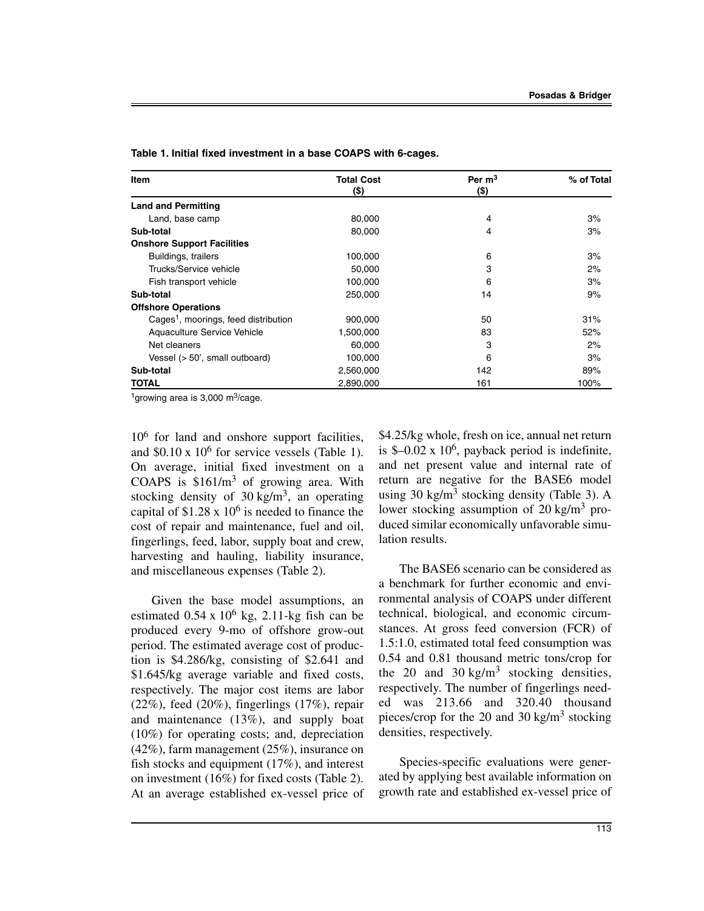| Item                                             | <b>Total Cost</b><br>(\$) | Per $m3$<br>(\$) | % of Total |
|--------------------------------------------------|---------------------------|------------------|------------|
| <b>Land and Permitting</b>                       |                           |                  |            |
| Land, base camp                                  | 80,000                    | 4                | 3%         |
| Sub-total                                        | 80,000                    | 4                | 3%         |
| <b>Onshore Support Facilities</b>                |                           |                  |            |
| Buildings, trailers                              | 100,000                   | 6                | 3%         |
| Trucks/Service vehicle                           | 50.000                    | 3                | 2%         |
| Fish transport vehicle                           | 100,000                   | 6                | 3%         |
| Sub-total                                        | 250.000                   | 14               | 9%         |
| <b>Offshore Operations</b>                       |                           |                  |            |
| Cages <sup>1</sup> , moorings, feed distribution | 900,000                   | 50               | 31%        |
| Aquaculture Service Vehicle                      | 1,500,000                 | 83               | 52%        |
| Net cleaners                                     | 60.000                    | 3                | 2%         |
| Vessel (> 50', small outboard)                   | 100,000                   | 6                | 3%         |
| Sub-total                                        | 2,560,000                 | 142              | 89%        |
| TOTAL                                            | 2,890,000                 | 161              | 100%       |

**Table 1. Initial fixed investment in a base COAPS with 6-cages.**

<sup>1</sup>growing area is 3,000 m<sup>3</sup>/cage.

 $10<sup>6</sup>$  for land and onshore support facilities, and  $$0.10 \times 10^6$  for service vessels (Table 1). On average, initial fixed investment on a COAPS is  $$161/m<sup>3</sup>$  of growing area. With stocking density of  $30 \text{ kg/m}^3$ , an operating capital of  $$1.28 \times 10^6$  is needed to finance the cost of repair and maintenance, fuel and oil, fingerlings, feed, labor, supply boat and crew, harvesting and hauling, liability insurance, and miscellaneous expenses (Table 2).

Given the base model assumptions, an estimated  $0.54 \times 10^6$  kg, 2.11-kg fish can be produced every 9-mo of offshore grow-out period. The estimated average cost of production is \$4.286/kg, consisting of \$2.641 and \$1.645/kg average variable and fixed costs, respectively. The major cost items are labor  $(22\%)$ , feed  $(20\%)$ , fingerlings  $(17\%)$ , repair and maintenance (13%), and supply boat (10%) for operating costs; and, depreciation (42%), farm management (25%), insurance on fish stocks and equipment (17%), and interest on investment (16%) for fixed costs (Table 2). At an average established ex-vessel price of \$4.25/kg whole, fresh on ice, annual net return is  $\text{\$}-0.02 \times 10^6$ , payback period is indefinite, and net present value and internal rate of return are negative for the BASE6 model using 30 kg/m<sup>3</sup> stocking density (Table 3). A lower stocking assumption of  $20 \text{ kg/m}^3$  produced similar economically unfavorable simulation results.

The BASE6 scenario can be considered as a benchmark for further economic and environmental analysis of COAPS under different technical, biological, and economic circumstances. At gross feed conversion (FCR) of 1.5:1.0, estimated total feed consumption was 0.54 and 0.81 thousand metric tons/crop for the 20 and 30 kg/m<sup>3</sup> stocking densities, respectively. The number of fingerlings needed was 213.66 and 320.40 thousand pieces/crop for the 20 and 30 kg/m<sup>3</sup> stocking densities, respectively.

Species-specific evaluations were generated by applying best available information on growth rate and established ex-vessel price of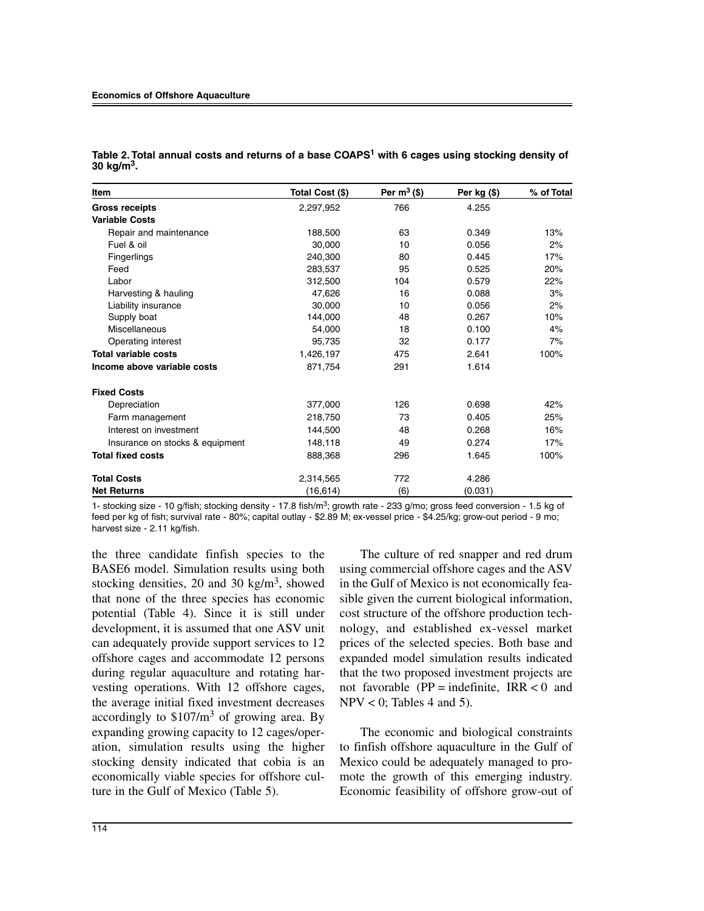| Item                            | Total Cost (\$) | Per $m^3$ (\$) | Per $kg($ \$) | % of Total |
|---------------------------------|-----------------|----------------|---------------|------------|
| <b>Gross receipts</b>           | 2,297,952       | 766            | 4.255         |            |
| <b>Variable Costs</b>           |                 |                |               |            |
| Repair and maintenance          | 188,500         | 63             | 0.349         | 13%        |
| Fuel & oil                      | 30,000          | 10             | 0.056         | 2%         |
| Fingerlings                     | 240,300         | 80             | 0.445         | 17%        |
| Feed                            | 283,537         | 95             | 0.525         | 20%        |
| Labor                           | 312,500         | 104            | 0.579         | 22%        |
| Harvesting & hauling            | 47.626          | 16             | 0.088         | 3%         |
| Liability insurance             | 30,000          | 10             | 0.056         | 2%         |
| Supply boat                     | 144.000         | 48             | 0.267         | 10%        |
| Miscellaneous                   | 54,000          | 18             | 0.100         | 4%         |
| Operating interest              | 95,735          | 32             | 0.177         | 7%         |
| <b>Total variable costs</b>     | 1,426,197       | 475            | 2.641         | 100%       |
| Income above variable costs     | 871,754         | 291            | 1.614         |            |
| <b>Fixed Costs</b>              |                 |                |               |            |
| Depreciation                    | 377,000         | 126            | 0.698         | 42%        |
| Farm management                 | 218,750         | 73             | 0.405         | 25%        |
| Interest on investment          | 144,500         | 48             | 0.268         | 16%        |
| Insurance on stocks & equipment | 148,118         | 49             | 0.274         | 17%        |
| <b>Total fixed costs</b>        | 888,368         | 296            | 1.645         | 100%       |
| <b>Total Costs</b>              | 2,314,565       | 772            | 4.286         |            |
| <b>Net Returns</b>              | (16,614)        | (6)            | (0.031)       |            |

**Table 2. Total annual costs and returns of a base COAPS1 with 6 cages using stocking density of 30 kg/m3.**

1- stocking size - 10 g/fish; stocking density - 17.8 fish/m<sup>3</sup>; growth rate - 233 g/mo; gross feed conversion - 1.5 kg of feed per kg of fish; survival rate - 80%; capital outlay - \$2.89 M; ex-vessel price - \$4.25/kg; grow-out period - 9 mo; harvest size - 2.11 kg/fish.

the three candidate finfish species to the BASE6 model. Simulation results using both stocking densities, 20 and 30 kg/m<sup>3</sup>, showed that none of the three species has economic potential (Table 4). Since it is still under development, it is assumed that one ASV unit can adequately provide support services to 12 offshore cages and accommodate 12 persons during regular aquaculture and rotating harvesting operations. With 12 offshore cages, the average initial fixed investment decreases accordingly to  $$107/m<sup>3</sup>$  of growing area. By expanding growing capacity to 12 cages/operation, simulation results using the higher stocking density indicated that cobia is an economically viable species for offshore culture in the Gulf of Mexico (Table 5).

The culture of red snapper and red drum using commercial offshore cages and the ASV in the Gulf of Mexico is not economically feasible given the current biological information, cost structure of the offshore production technology, and established ex-vessel market prices of the selected species. Both base and expanded model simulation results indicated that the two proposed investment projects are not favorable ( $PP =$  indefinite,  $IRR < 0$  and  $NPV < 0$ ; Tables 4 and 5).

The economic and biological constraints to finfish offshore aquaculture in the Gulf of Mexico could be adequately managed to promote the growth of this emerging industry. Economic feasibility of offshore grow-out of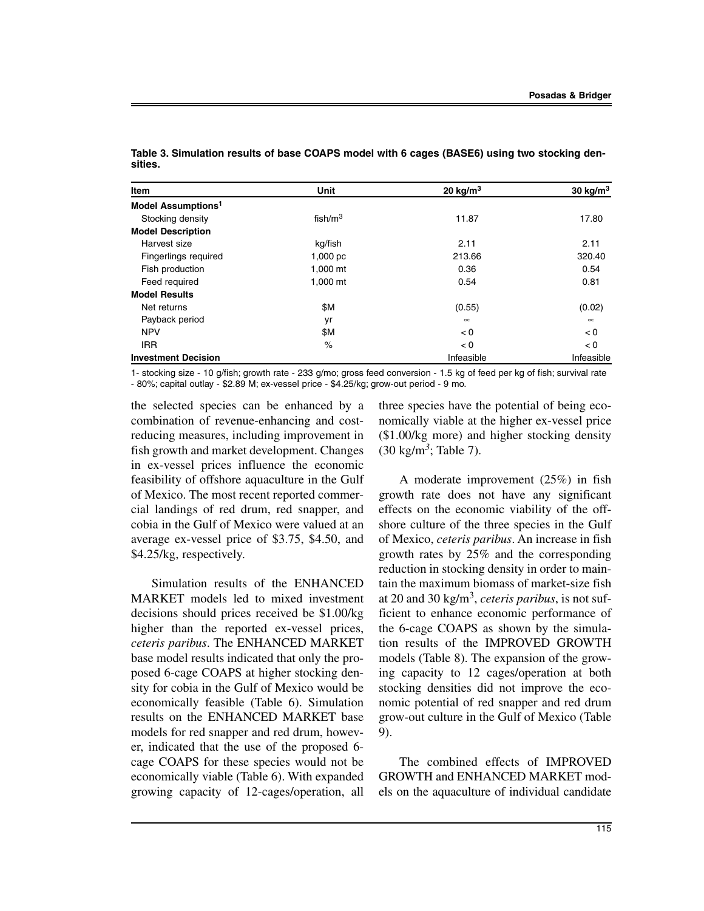| Item                           | <b>Unit</b> | 20 kg/m $3$ | 30 $kg/m3$ |
|--------------------------------|-------------|-------------|------------|
| Model Assumptions <sup>1</sup> |             |             |            |
| Stocking density               | fish/ $m3$  | 11.87       | 17.80      |
| <b>Model Description</b>       |             |             |            |
| Harvest size                   | kg/fish     | 2.11        | 2.11       |
| Fingerlings required           | 1,000 pc    | 213.66      | 320.40     |
| Fish production                | 1,000 mt    | 0.36        | 0.54       |
| Feed required                  | 1,000 mt    | 0.54        | 0.81       |
| <b>Model Results</b>           |             |             |            |
| Net returns                    | \$M         | (0.55)      | (0.02)     |
| Payback period                 | yr          | $\infty$    | $\infty$   |
| <b>NPV</b>                     | \$Μ         | < 0         | < 0        |
| <b>IRR</b>                     | $\%$        | < 0         | < 0        |
| <b>Investment Decision</b>     |             | Infeasible  | Infeasible |

**Table 3. Simulation results of base COAPS model with 6 cages (BASE6) using two stocking densities.**

1- stocking size - 10 g/fish; growth rate - 233 g/mo; gross feed conversion - 1.5 kg of feed per kg of fish; survival rate - 80%; capital outlay - \$2.89 M; ex-vessel price - \$4.25/kg; grow-out period - 9 mo.

the selected species can be enhanced by a combination of revenue-enhancing and costreducing measures, including improvement in fish growth and market development. Changes in ex-vessel prices influence the economic feasibility of offshore aquaculture in the Gulf of Mexico. The most recent reported commercial landings of red drum, red snapper, and cobia in the Gulf of Mexico were valued at an average ex-vessel price of \$3.75, \$4.50, and \$4.25/kg, respectively.

Simulation results of the ENHANCED MARKET models led to mixed investment decisions should prices received be \$1.00/kg higher than the reported ex-vessel prices, *ceteris paribus*. The ENHANCED MARKET base model results indicated that only the proposed 6-cage COAPS at higher stocking density for cobia in the Gulf of Mexico would be economically feasible (Table 6). Simulation results on the ENHANCED MARKET base models for red snapper and red drum, however, indicated that the use of the proposed 6 cage COAPS for these species would not be economically viable (Table 6). With expanded growing capacity of 12-cages/operation, all

three species have the potential of being economically viable at the higher ex-vessel price (\$1.00/kg more) and higher stocking density (30 kg/m*3*; Table 7).

A moderate improvement (25%) in fish growth rate does not have any significant effects on the economic viability of the offshore culture of the three species in the Gulf of Mexico, *ceteris paribus*. An increase in fish growth rates by 25% and the corresponding reduction in stocking density in order to maintain the maximum biomass of market-size fish at 20 and 30 kg/m3, *ceteris paribus*, is not sufficient to enhance economic performance of the 6-cage COAPS as shown by the simulation results of the IMPROVED GROWTH models (Table 8). The expansion of the growing capacity to 12 cages/operation at both stocking densities did not improve the economic potential of red snapper and red drum grow-out culture in the Gulf of Mexico (Table 9).

The combined effects of IMPROVED GROWTH and ENHANCED MARKET models on the aquaculture of individual candidate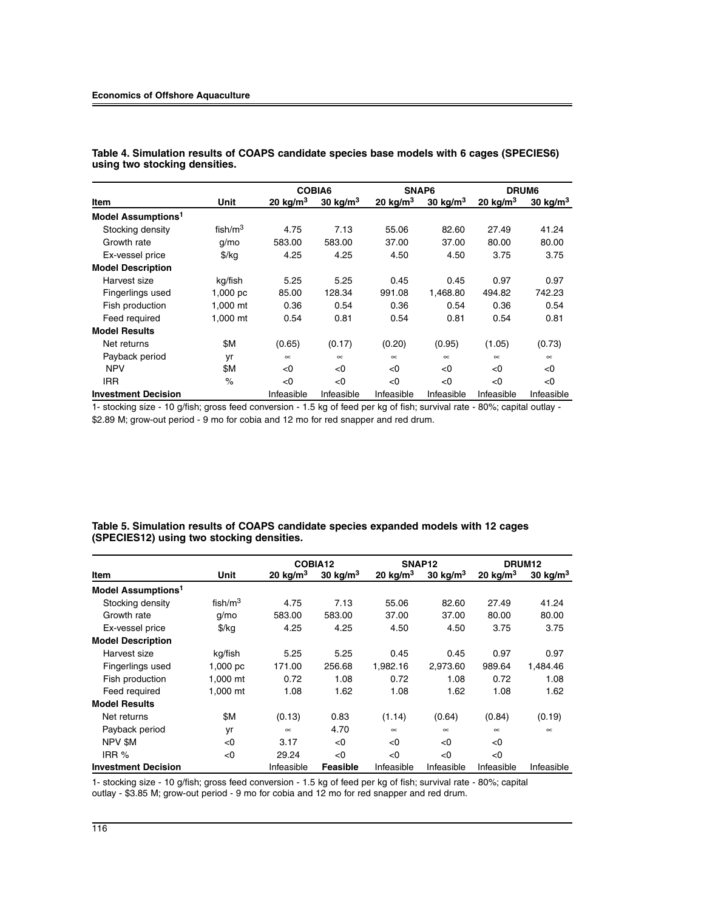#### **Economics of Offshore Aquaculture**

|                                |               |                        | COBIA6      |                        | SNAP6      |            | DRUM <sub>6</sub> |  |
|--------------------------------|---------------|------------------------|-------------|------------------------|------------|------------|-------------------|--|
| Item                           | Unit          | $20$ kg/m <sup>3</sup> | 30 kg/ $m3$ | $20$ kg/m <sup>3</sup> | 30 $kg/m3$ | 20 $kg/m3$ | 30 kg/ $m3$       |  |
| Model Assumptions <sup>1</sup> |               |                        |             |                        |            |            |                   |  |
| Stocking density               | fish/ $m3$    | 4.75                   | 7.13        | 55.06                  | 82.60      | 27.49      | 41.24             |  |
| Growth rate                    | g/mo          | 583.00                 | 583.00      | 37.00                  | 37.00      | 80.00      | 80.00             |  |
| Ex-vessel price                | $\frac{f}{f}$ | 4.25                   | 4.25        | 4.50                   | 4.50       | 3.75       | 3.75              |  |
| <b>Model Description</b>       |               |                        |             |                        |            |            |                   |  |
| Harvest size                   | kg/fish       | 5.25                   | 5.25        | 0.45                   | 0.45       | 0.97       | 0.97              |  |
| Fingerlings used               | $1,000$ pc    | 85.00                  | 128.34      | 991.08                 | 1.468.80   | 494.82     | 742.23            |  |
| Fish production                | 1.000 mt      | 0.36                   | 0.54        | 0.36                   | 0.54       | 0.36       | 0.54              |  |
| Feed required                  | 1,000 mt      | 0.54                   | 0.81        | 0.54                   | 0.81       | 0.54       | 0.81              |  |
| <b>Model Results</b>           |               |                        |             |                        |            |            |                   |  |
| Net returns                    | \$M           | (0.65)                 | (0.17)      | (0.20)                 | (0.95)     | (1.05)     | (0.73)            |  |
| Payback period                 | yr            | $\infty$               | $\infty$    | $\infty$               | $\infty$   | $\infty$   | $\propto$         |  |
| <b>NPV</b>                     | \$M           | < 0                    | < 0         | < 0                    | < 0        | <0         | < 0               |  |
| <b>IRR</b>                     | $\%$          | < 0                    | < 0         | < 0                    | < 0        | <0         | < 0               |  |
| <b>Investment Decision</b>     |               | Infeasible             | Infeasible  | Infeasible             | Infeasible | Infeasible | Infeasible        |  |

**Table 4. Simulation results of COAPS candidate species base models with 6 cages (SPECIES6) using two stocking densities.**

1- stocking size - 10 g/fish; gross feed conversion - 1.5 kg of feed per kg of fish; survival rate - 80%; capital outlay - \$2.89 M; grow-out period - 9 mo for cobia and 12 mo for red snapper and red drum.

#### **Table 5. Simulation results of COAPS candidate species expanded models with 12 cages (SPECIES12) using two stocking densities.**

|                                |               |                        | COBIA12     |                        | SNAP <sub>12</sub> | DRUM <sub>12</sub> |             |
|--------------------------------|---------------|------------------------|-------------|------------------------|--------------------|--------------------|-------------|
| Item                           | Unit          | $20$ kg/m <sup>3</sup> | 30 kg/ $m3$ | $20$ kg/m <sup>3</sup> | 30 $kg/m3$         | 20 $kg/m3$         | 30 kg/ $m3$ |
| Model Assumptions <sup>1</sup> |               |                        |             |                        |                    |                    |             |
| Stocking density               | fish/ $m3$    | 4.75                   | 7.13        | 55.06                  | 82.60              | 27.49              | 41.24       |
| Growth rate                    | $q/m$ o       | 583.00                 | 583.00      | 37.00                  | 37.00              | 80.00              | 80.00       |
| Ex-vessel price                | $\frac{f}{f}$ | 4.25                   | 4.25        | 4.50                   | 4.50               | 3.75               | 3.75        |
| <b>Model Description</b>       |               |                        |             |                        |                    |                    |             |
| Harvest size                   | kg/fish       | 5.25                   | 5.25        | 0.45                   | 0.45               | 0.97               | 0.97        |
| Fingerlings used               | 1,000~pc      | 171.00                 | 256.68      | 1,982.16               | 2.973.60           | 989.64             | 1,484.46    |
| Fish production                | 1,000 mt      | 0.72                   | 1.08        | 0.72                   | 1.08               | 0.72               | 1.08        |
| Feed required                  | 1.000 mt      | 1.08                   | 1.62        | 1.08                   | 1.62               | 1.08               | 1.62        |
| <b>Model Results</b>           |               |                        |             |                        |                    |                    |             |
| Net returns                    | \$Μ           | (0.13)                 | 0.83        | (1.14)                 | (0.64)             | (0.84)             | (0.19)      |
| Payback period                 | yr            | $\infty$               | 4.70        | $\infty$               | $\infty$           | $\infty$           | $\infty$    |
| NPV \$M                        | < 0           | 3.17                   | < 0         | < 0                    | < 0                | <0                 |             |
| IRR %                          | < 0           | 29.24                  | < 0         | < 0                    | < 0                | <0                 |             |
| <b>Investment Decision</b>     |               | Infeasible             | Feasible    | Infeasible             | Infeasible         | Infeasible         | Infeasible  |

1- stocking size - 10 g/fish; gross feed conversion - 1.5 kg of feed per kg of fish; survival rate - 80%; capital outlay - \$3.85 M; grow-out period - 9 mo for cobia and 12 mo for red snapper and red drum.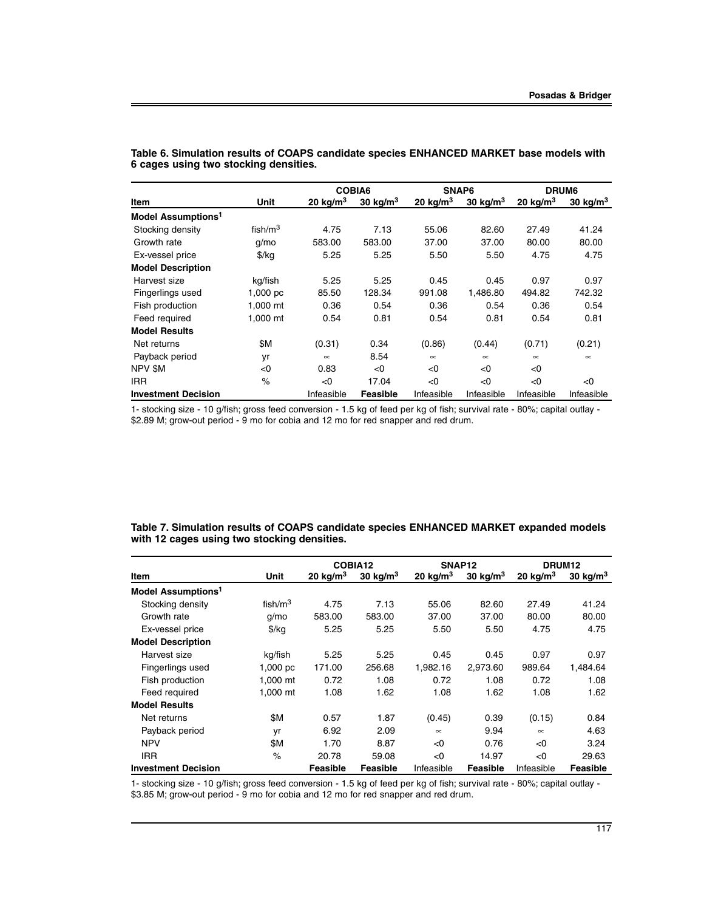|                                |               |            | COBIA6     | SNAP6       |            | DRUM <sub>6</sub> |                     |
|--------------------------------|---------------|------------|------------|-------------|------------|-------------------|---------------------|
| Item                           | Unit          | 20 $kg/m3$ | 30 $kg/m3$ | 20 kg/ $m3$ | 30 $kg/m3$ | 20 kg/ $m3$       | $30 \text{ kg/m}^3$ |
| Model Assumptions <sup>1</sup> |               |            |            |             |            |                   |                     |
| Stocking density               | fish/ $m3$    | 4.75       | 7.13       | 55.06       | 82.60      | 27.49             | 41.24               |
| Growth rate                    | $q/m$ o       | 583.00     | 583.00     | 37.00       | 37.00      | 80.00             | 80.00               |
| Ex-vessel price                | $\frac{f}{g}$ | 5.25       | 5.25       | 5.50        | 5.50       | 4.75              | 4.75                |
| <b>Model Description</b>       |               |            |            |             |            |                   |                     |
| Harvest size                   | kg/fish       | 5.25       | 5.25       | 0.45        | 0.45       | 0.97              | 0.97                |
| Fingerlings used               | 1,000~pc      | 85.50      | 128.34     | 991.08      | 1.486.80   | 494.82            | 742.32              |
| Fish production                | 1.000 mt      | 0.36       | 0.54       | 0.36        | 0.54       | 0.36              | 0.54                |
| Feed required                  | 1,000 mt      | 0.54       | 0.81       | 0.54        | 0.81       | 0.54              | 0.81                |
| <b>Model Results</b>           |               |            |            |             |            |                   |                     |
| Net returns                    | \$M           | (0.31)     | 0.34       | (0.86)      | (0.44)     | (0.71)            | (0.21)              |
| Payback period                 | yr            | $\infty$   | 8.54       | $\infty$    | $\infty$   | $\infty$          | $\infty$            |
| NPV \$M                        | < 0           | 0.83       | < 0        | < 0         | < 0        | < 0               |                     |
| <b>IRR</b>                     | $\%$          | <0         | 17.04      | < 0         | < 0        | < 0               | < 0                 |
| <b>Investment Decision</b>     |               | Infeasible | Feasible   | Infeasible  | Infeasible | Infeasible        | Infeasible          |

**Table 6. Simulation results of COAPS candidate species ENHANCED MARKET base models with 6 cages using two stocking densities.**

1- stocking size - 10 g/fish; gross feed conversion - 1.5 kg of feed per kg of fish; survival rate - 80%; capital outlay - \$2.89 M; grow-out period - 9 mo for cobia and 12 mo for red snapper and red drum.

| Table 7. Simulation results of COAPS candidate species ENHANCED MARKET expanded models |  |
|----------------------------------------------------------------------------------------|--|
| with 12 cages using two stocking densities.                                            |  |

|                                |               |            | COBIA12             |            | SNAP <sub>12</sub> |            | DRUM <sub>12</sub> |
|--------------------------------|---------------|------------|---------------------|------------|--------------------|------------|--------------------|
| Item                           | Unit          | 20 $kg/m3$ | $30 \text{ kg/m}^3$ | 20 $kg/m3$ | 30 $kg/m3$         | 20 $kg/m3$ | 30 $kg/m3$         |
| Model Assumptions <sup>1</sup> |               |            |                     |            |                    |            |                    |
| Stocking density               | fish/ $m3$    | 4.75       | 7.13                | 55.06      | 82.60              | 27.49      | 41.24              |
| Growth rate                    | $q/m$ o       | 583.00     | 583.00              | 37.00      | 37.00              | 80.00      | 80.00              |
| Ex-vessel price                | $\frac{f}{f}$ | 5.25       | 5.25                | 5.50       | 5.50               | 4.75       | 4.75               |
| <b>Model Description</b>       |               |            |                     |            |                    |            |                    |
| Harvest size                   | kg/fish       | 5.25       | 5.25                | 0.45       | 0.45               | 0.97       | 0.97               |
| Fingerlings used               | 1,000~pc      | 171.00     | 256.68              | 1.982.16   | 2.973.60           | 989.64     | 1.484.64           |
| Fish production                | 1,000 mt      | 0.72       | 1.08                | 0.72       | 1.08               | 0.72       | 1.08               |
| Feed required                  | 1.000 mt      | 1.08       | 1.62                | 1.08       | 1.62               | 1.08       | 1.62               |
| <b>Model Results</b>           |               |            |                     |            |                    |            |                    |
| Net returns                    | \$M           | 0.57       | 1.87                | (0.45)     | 0.39               | (0.15)     | 0.84               |
| Payback period                 | yr            | 6.92       | 2.09                | $\infty$   | 9.94               | $\infty$   | 4.63               |
| <b>NPV</b>                     | \$M           | 1.70       | 8.87                | < 0        | 0.76               | < 0        | 3.24               |
| <b>IRR</b>                     | $\%$          | 20.78      | 59.08               | < 0        | 14.97              | < 0        | 29.63              |
| <b>Investment Decision</b>     |               | Feasible   | Feasible            | Infeasible | Feasible           | Infeasible | Feasible           |

1- stocking size - 10 g/fish; gross feed conversion - 1.5 kg of feed per kg of fish; survival rate - 80%; capital outlay - \$3.85 M; grow-out period - 9 mo for cobia and 12 mo for red snapper and red drum.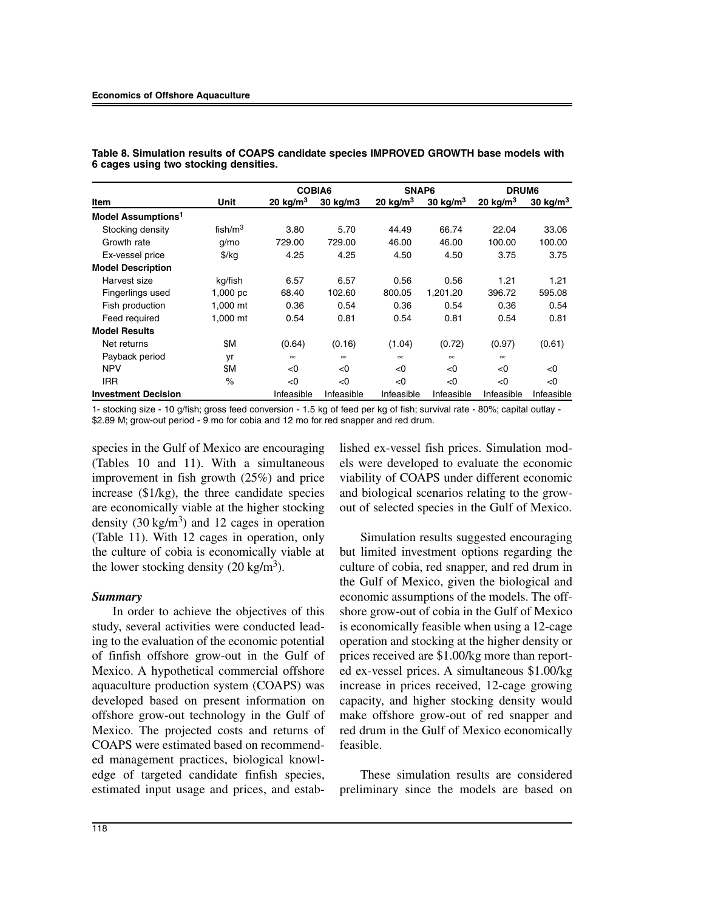|                                |            | COBIA6     |            | SNAP6       |             | DRUM6       |             |
|--------------------------------|------------|------------|------------|-------------|-------------|-------------|-------------|
| Item                           | Unit       | 20 $kg/m3$ | 30 kg/m3   | 20 kg/ $m3$ | 30 kg/ $m3$ | 20 kg/m $3$ | 30 kg/ $m3$ |
| Model Assumptions <sup>1</sup> |            |            |            |             |             |             |             |
| Stocking density               | fish/ $m3$ | 3.80       | 5.70       | 44.49       | 66.74       | 22.04       | 33.06       |
| Growth rate                    | $q/m$ o    | 729.00     | 729.00     | 46.00       | 46.00       | 100.00      | 100.00      |
| Ex-vessel price                | \$/kg      | 4.25       | 4.25       | 4.50        | 4.50        | 3.75        | 3.75        |
| <b>Model Description</b>       |            |            |            |             |             |             |             |
| Harvest size                   | kg/fish    | 6.57       | 6.57       | 0.56        | 0.56        | 1.21        | 1.21        |
| Fingerlings used               | 1,000 pc   | 68.40      | 102.60     | 800.05      | 1,201.20    | 396.72      | 595.08      |
| Fish production                | 1,000 mt   | 0.36       | 0.54       | 0.36        | 0.54        | 0.36        | 0.54        |
| Feed required                  | 1,000 mt   | 0.54       | 0.81       | 0.54        | 0.81        | 0.54        | 0.81        |
| <b>Model Results</b>           |            |            |            |             |             |             |             |
| Net returns                    | \$Μ        | (0.64)     | (0.16)     | (1.04)      | (0.72)      | (0.97)      | (0.61)      |
| Payback period                 | yr         | $\infty$   | $\infty$   | $\infty$    | $\infty$    | $\infty$    |             |
| <b>NPV</b>                     | \$Μ        | < 0        | <0         | < 0         | < 0         | < 0         | < 0         |
| IRR.                           | $\%$       | < 0        | < 0        | < 0         | < 0         | < 0         | < 0         |
| <b>Investment Decision</b>     |            | Infeasible | Infeasible | Infeasible  | Infeasible  | Infeasible  | Infeasible  |

**Table 8. Simulation results of COAPS candidate species IMPROVED GROWTH base models with 6 cages using two stocking densities.**

1- stocking size - 10 g/fish; gross feed conversion - 1.5 kg of feed per kg of fish; survival rate - 80%; capital outlay - \$2.89 M; grow-out period - 9 mo for cobia and 12 mo for red snapper and red drum.

species in the Gulf of Mexico are encouraging (Tables 10 and 11). With a simultaneous improvement in fish growth (25%) and price increase (\$1/kg), the three candidate species are economically viable at the higher stocking density  $(30 \text{ kg/m}^3)$  and 12 cages in operation (Table 11). With 12 cages in operation, only the culture of cobia is economically viable at the lower stocking density  $(20 \text{ kg/m}^3)$ .

### *Summary*

In order to achieve the objectives of this study, several activities were conducted leading to the evaluation of the economic potential of finfish offshore grow-out in the Gulf of Mexico. A hypothetical commercial offshore aquaculture production system (COAPS) was developed based on present information on offshore grow-out technology in the Gulf of Mexico. The projected costs and returns of COAPS were estimated based on recommended management practices, biological knowledge of targeted candidate finfish species, estimated input usage and prices, and established ex-vessel fish prices. Simulation models were developed to evaluate the economic viability of COAPS under different economic and biological scenarios relating to the growout of selected species in the Gulf of Mexico.

Simulation results suggested encouraging but limited investment options regarding the culture of cobia, red snapper, and red drum in the Gulf of Mexico, given the biological and economic assumptions of the models. The offshore grow-out of cobia in the Gulf of Mexico is economically feasible when using a 12-cage operation and stocking at the higher density or prices received are \$1.00/kg more than reported ex-vessel prices. A simultaneous \$1.00/kg increase in prices received, 12-cage growing capacity, and higher stocking density would make offshore grow-out of red snapper and red drum in the Gulf of Mexico economically feasible.

These simulation results are considered preliminary since the models are based on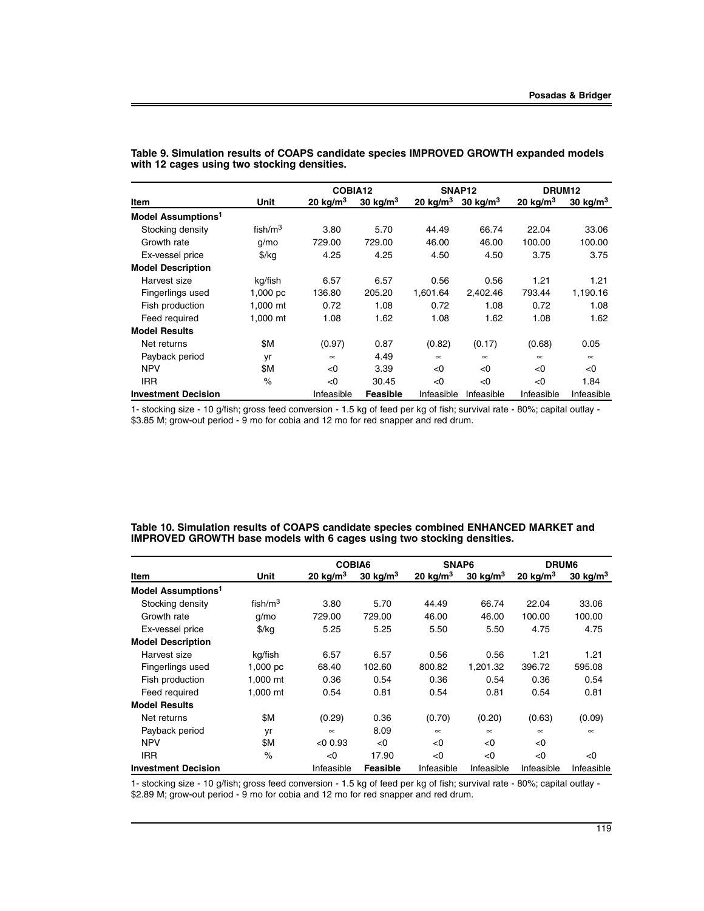|                                |               | COBIA12     |            |             | SNAP <sub>12</sub> | DRUM <sub>12</sub> |             |
|--------------------------------|---------------|-------------|------------|-------------|--------------------|--------------------|-------------|
| Item                           | Unit          | 20 kg/ $m3$ | 30 $kg/m3$ | 20 kg/m $3$ | 30 $kg/m3$         | 20 $kg/m3$         | 30 kg/ $m3$ |
| Model Assumptions <sup>1</sup> |               |             |            |             |                    |                    |             |
| Stocking density               | fish/ $m3$    | 3.80        | 5.70       | 44.49       | 66.74              | 22.04              | 33.06       |
| Growth rate                    | $q/m$ o       | 729.00      | 729.00     | 46.00       | 46.00              | 100.00             | 100.00      |
| Ex-vessel price                | $\frac{f}{g}$ | 4.25        | 4.25       | 4.50        | 4.50               | 3.75               | 3.75        |
| <b>Model Description</b>       |               |             |            |             |                    |                    |             |
| Harvest size                   | kg/fish       | 6.57        | 6.57       | 0.56        | 0.56               | 1.21               | 1.21        |
| Fingerlings used               | 1,000~pc      | 136.80      | 205.20     | 1.601.64    | 2.402.46           | 793.44             | 1.190.16    |
| Fish production                | 1.000 mt      | 0.72        | 1.08       | 0.72        | 1.08               | 0.72               | 1.08        |
| Feed required                  | 1,000 mt      | 1.08        | 1.62       | 1.08        | 1.62               | 1.08               | 1.62        |
| <b>Model Results</b>           |               |             |            |             |                    |                    |             |
| Net returns                    | \$Μ           | (0.97)      | 0.87       | (0.82)      | (0.17)             | (0.68)             | 0.05        |
| Payback period                 | yr            | $\infty$    | 4.49       | $\infty$    | $\infty$           | $\infty$           | $\infty$    |
| <b>NPV</b>                     | \$Μ           | < 0         | 3.39       | < 0         | < 0                | < 0                | < 0         |
| <b>IRR</b>                     | $\%$          | < 0         | 30.45      | < 0         | < 0                | < 0                | 1.84        |
| <b>Investment Decision</b>     |               | Infeasible  | Feasible   | Infeasible  | Infeasible         | Infeasible         | Infeasible  |

**Table 9. Simulation results of COAPS candidate species IMPROVED GROWTH expanded models with 12 cages using two stocking densities.**

1- stocking size - 10 g/fish; gross feed conversion - 1.5 kg of feed per kg of fish; survival rate - 80%; capital outlay - \$3.85 M; grow-out period - 9 mo for cobia and 12 mo for red snapper and red drum.

| Table 10. Simulation results of COAPS candidate species combined ENHANCED MARKET and |  |
|--------------------------------------------------------------------------------------|--|
| IMPROVED GROWTH base models with 6 cages using two stocking densities.               |  |

|                                |               |             | COBIA6<br>SNAP6     |            |            | DRUM6      |                     |
|--------------------------------|---------------|-------------|---------------------|------------|------------|------------|---------------------|
| Item                           | Unit          | 20 kg/ $m3$ | $30 \text{ kg/m}^3$ | 20 $kg/m3$ | 30 $kg/m3$ | 20 $kg/m3$ | $30 \text{ kg/m}^3$ |
| Model Assumptions <sup>1</sup> |               |             |                     |            |            |            |                     |
| Stocking density               | fish/ $m3$    | 3.80        | 5.70                | 44.49      | 66.74      | 22.04      | 33.06               |
| Growth rate                    | g/mo          | 729.00      | 729.00              | 46.00      | 46.00      | 100.00     | 100.00              |
| Ex-vessel price                | $\frac{1}{2}$ | 5.25        | 5.25                | 5.50       | 5.50       | 4.75       | 4.75                |
| <b>Model Description</b>       |               |             |                     |            |            |            |                     |
| Harvest size                   | kg/fish       | 6.57        | 6.57                | 0.56       | 0.56       | 1.21       | 1.21                |
| Fingerlings used               | 1,000 $pc$    | 68.40       | 102.60              | 800.82     | 1.201.32   | 396.72     | 595.08              |
| Fish production                | 1,000 mt      | 0.36        | 0.54                | 0.36       | 0.54       | 0.36       | 0.54                |
| Feed required                  | 1.000 mt      | 0.54        | 0.81                | 0.54       | 0.81       | 0.54       | 0.81                |
| <b>Model Results</b>           |               |             |                     |            |            |            |                     |
| Net returns                    | \$Μ           | (0.29)      | 0.36                | (0.70)     | (0.20)     | (0.63)     | (0.09)              |
| Payback period                 | yr            | $\infty$    | 8.09                | $\infty$   | $\infty$   | $\infty$   | $\infty$            |
| <b>NPV</b>                     | \$Μ           | < 0.93      | < 0                 | < 0        | < 0        | < 0        |                     |
| <b>IRR</b>                     | $\%$          | < 0         | 17.90               | < 0        | < 0        | < 0        | < 0                 |
| <b>Investment Decision</b>     |               | Infeasible  | <b>Feasible</b>     | Infeasible | Infeasible | Infeasible | Infeasible          |

1- stocking size - 10 g/fish; gross feed conversion - 1.5 kg of feed per kg of fish; survival rate - 80%; capital outlay - \$2.89 M; grow-out period - 9 mo for cobia and 12 mo for red snapper and red drum.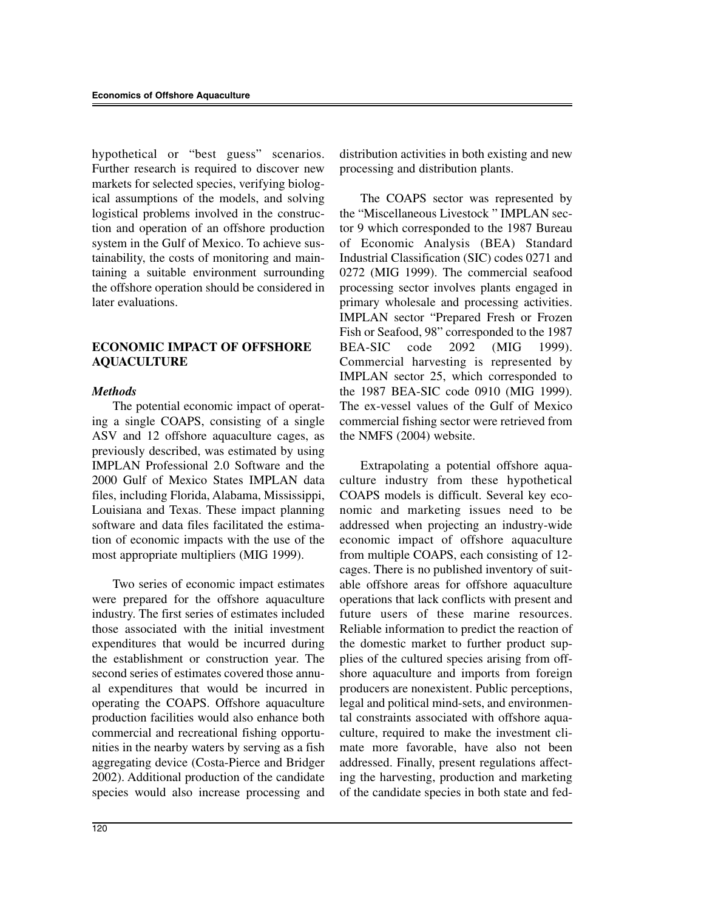hypothetical or "best guess" scenarios. Further research is required to discover new markets for selected species, verifying biological assumptions of the models, and solving logistical problems involved in the construction and operation of an offshore production system in the Gulf of Mexico. To achieve sustainability, the costs of monitoring and maintaining a suitable environment surrounding the offshore operation should be considered in later evaluations.

# **ECONOMIC IMPACT OF OFFSHORE AQUACULTURE**

## *Methods*

The potential economic impact of operating a single COAPS, consisting of a single ASV and 12 offshore aquaculture cages, as previously described, was estimated by using IMPLAN Professional 2.0 Software and the 2000 Gulf of Mexico States IMPLAN data files, including Florida, Alabama, Mississippi, Louisiana and Texas. These impact planning software and data files facilitated the estimation of economic impacts with the use of the most appropriate multipliers (MIG 1999).

Two series of economic impact estimates were prepared for the offshore aquaculture industry. The first series of estimates included those associated with the initial investment expenditures that would be incurred during the establishment or construction year. The second series of estimates covered those annual expenditures that would be incurred in operating the COAPS. Offshore aquaculture production facilities would also enhance both commercial and recreational fishing opportunities in the nearby waters by serving as a fish aggregating device (Costa-Pierce and Bridger 2002). Additional production of the candidate species would also increase processing and

distribution activities in both existing and new processing and distribution plants.

The COAPS sector was represented by the "Miscellaneous Livestock " IMPLAN sector 9 which corresponded to the 1987 Bureau of Economic Analysis (BEA) Standard Industrial Classification (SIC) codes 0271 and 0272 (MIG 1999). The commercial seafood processing sector involves plants engaged in primary wholesale and processing activities. IMPLAN sector "Prepared Fresh or Frozen Fish or Seafood, 98" corresponded to the 1987 BEA-SIC code 2092 (MIG 1999). Commercial harvesting is represented by IMPLAN sector 25, which corresponded to the 1987 BEA-SIC code 0910 (MIG 1999). The ex-vessel values of the Gulf of Mexico commercial fishing sector were retrieved from the NMFS (2004) website.

Extrapolating a potential offshore aquaculture industry from these hypothetical COAPS models is difficult. Several key economic and marketing issues need to be addressed when projecting an industry-wide economic impact of offshore aquaculture from multiple COAPS, each consisting of 12 cages. There is no published inventory of suitable offshore areas for offshore aquaculture operations that lack conflicts with present and future users of these marine resources. Reliable information to predict the reaction of the domestic market to further product supplies of the cultured species arising from offshore aquaculture and imports from foreign producers are nonexistent. Public perceptions, legal and political mind-sets, and environmental constraints associated with offshore aquaculture, required to make the investment climate more favorable, have also not been addressed. Finally, present regulations affecting the harvesting, production and marketing of the candidate species in both state and fed-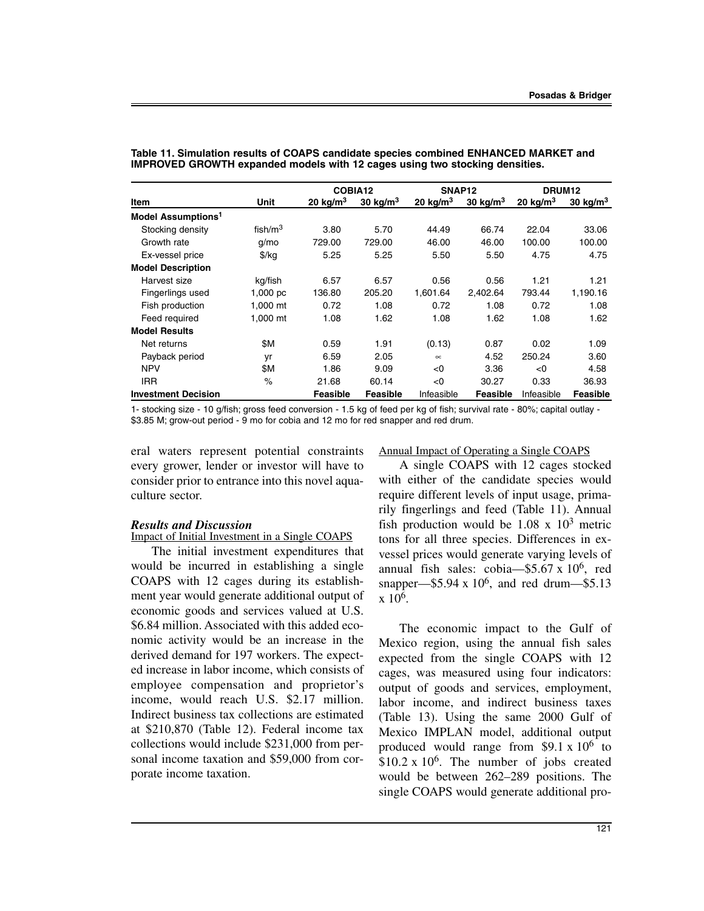|                                |               | COBIA12     |             | SNAP <sub>12</sub> |             | DRUM <sub>12</sub> |            |
|--------------------------------|---------------|-------------|-------------|--------------------|-------------|--------------------|------------|
| Item                           | Unit          | 20 kg/ $m3$ | 30 kg/ $m3$ | 20 kg/ $m3$        | 30 kg/ $m3$ | 20 $kg/m3$         | 30 $kg/m3$ |
| Model Assumptions <sup>1</sup> |               |             |             |                    |             |                    |            |
| Stocking density               | fish/ $m3$    | 3.80        | 5.70        | 44.49              | 66.74       | 22.04              | 33.06      |
| Growth rate                    | q/mo          | 729.00      | 729.00      | 46.00              | 46.00       | 100.00             | 100.00     |
| Ex-vessel price                | $\frac{f}{g}$ | 5.25        | 5.25        | 5.50               | 5.50        | 4.75               | 4.75       |
| <b>Model Description</b>       |               |             |             |                    |             |                    |            |
| Harvest size                   | kg/fish       | 6.57        | 6.57        | 0.56               | 0.56        | 1.21               | 1.21       |
| Fingerlings used               | 1,000~pc      | 136.80      | 205.20      | 1.601.64           | 2.402.64    | 793.44             | 1.190.16   |
| Fish production                | 1.000 mt      | 0.72        | 1.08        | 0.72               | 1.08        | 0.72               | 1.08       |
| Feed required                  | 1,000 mt      | 1.08        | 1.62        | 1.08               | 1.62        | 1.08               | 1.62       |
| <b>Model Results</b>           |               |             |             |                    |             |                    |            |
| Net returns                    | \$Μ           | 0.59        | 1.91        | (0.13)             | 0.87        | 0.02               | 1.09       |
| Payback period                 | yr            | 6.59        | 2.05        | $\infty$           | 4.52        | 250.24             | 3.60       |
| <b>NPV</b>                     | \$Μ           | 1.86        | 9.09        | < 0                | 3.36        | < 0                | 4.58       |
| <b>IRR</b>                     | $\%$          | 21.68       | 60.14       | < 0                | 30.27       | 0.33               | 36.93      |
| <b>Investment Decision</b>     |               | Feasible    | Feasible    | Infeasible         | Feasible    | Infeasible         | Feasible   |

**Table 11. Simulation results of COAPS candidate species combined ENHANCED MARKET and IMPROVED GROWTH expanded models with 12 cages using two stocking densities.**

1- stocking size - 10 g/fish; gross feed conversion - 1.5 kg of feed per kg of fish; survival rate - 80%; capital outlay - \$3.85 M; grow-out period - 9 mo for cobia and 12 mo for red snapper and red drum.

eral waters represent potential constraints every grower, lender or investor will have to consider prior to entrance into this novel aquaculture sector.

#### *Results and Discussion*

Impact of Initial Investment in a Single COAPS

The initial investment expenditures that would be incurred in establishing a single COAPS with 12 cages during its establishment year would generate additional output of economic goods and services valued at U.S. \$6.84 million. Associated with this added economic activity would be an increase in the derived demand for 197 workers. The expected increase in labor income, which consists of employee compensation and proprietor's income, would reach U.S. \$2.17 million. Indirect business tax collections are estimated at \$210,870 (Table 12). Federal income tax collections would include \$231,000 from personal income taxation and \$59,000 from corporate income taxation.

Annual Impact of Operating a Single COAPS

A single COAPS with 12 cages stocked with either of the candidate species would require different levels of input usage, primarily fingerlings and feed (Table 11). Annual fish production would be  $1.08 \times 10^3$  metric tons for all three species. Differences in exvessel prices would generate varying levels of annual fish sales: cobia— $$5.67 \times 10^6$ , red snapper— $$5.94 \times 10^6$ , and red drum— $$5.13$  $x \frac{10^6}{x}$ .

The economic impact to the Gulf of Mexico region, using the annual fish sales expected from the single COAPS with 12 cages, was measured using four indicators: output of goods and services, employment, labor income, and indirect business taxes (Table 13). Using the same 2000 Gulf of Mexico IMPLAN model, additional output produced would range from \$9.1 x  $10^6$  to  $$10.2 \times 10^6$ . The number of jobs created would be between 262–289 positions. The single COAPS would generate additional pro-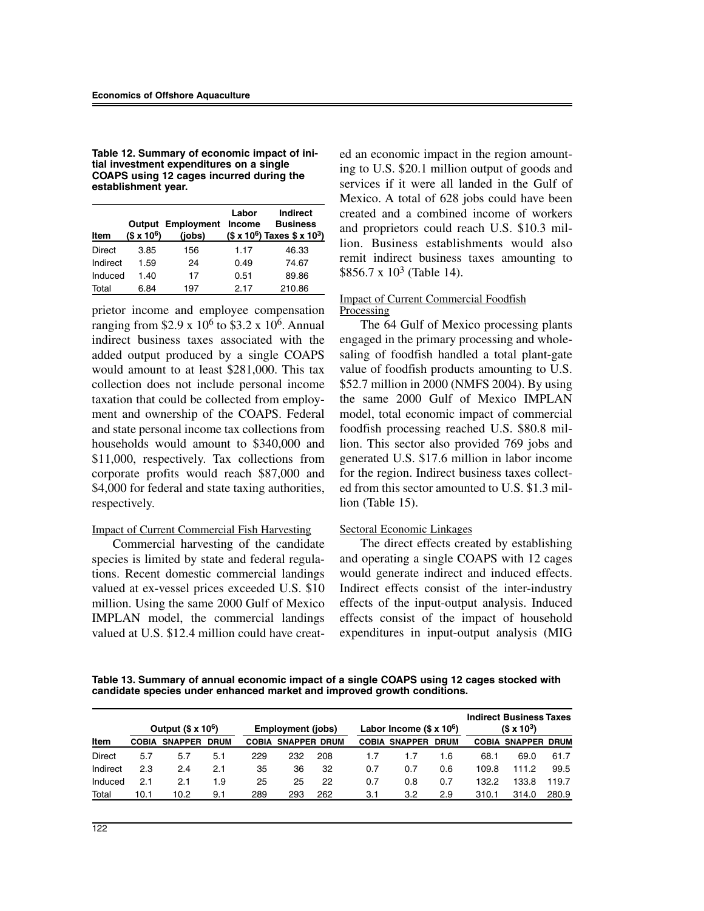| Table 12. Summary of economic impact of ini- |
|----------------------------------------------|
| tial investment expenditures on a single     |
| COAPS using 12 cages incurred during the     |
| establishment year.                          |

| Item     | $($x 10^6)$ | <b>Output Employment</b><br>(jobs) | Labor<br>Income | Indirect<br><b>Business</b><br>$($x 10^6)$ Taxes $$x 10^3)$ |
|----------|-------------|------------------------------------|-----------------|-------------------------------------------------------------|
| Direct   | 3.85        | 156                                | 1.17            | 46.33                                                       |
| Indirect | 1.59        | 24                                 | 0.49            | 74.67                                                       |
| Induced  | 1.40        | 17                                 | 0.51            | 89.86                                                       |
| Total    | 6.84        | 197                                | 2.17            | 210.86                                                      |

prietor income and employee compensation ranging from \$2.9 x  $10^6$  to \$3.2 x 10<sup>6</sup>. Annual indirect business taxes associated with the added output produced by a single COAPS would amount to at least \$281,000. This tax collection does not include personal income taxation that could be collected from employment and ownership of the COAPS. Federal and state personal income tax collections from households would amount to \$340,000 and \$11,000, respectively. Tax collections from corporate profits would reach \$87,000 and \$4,000 for federal and state taxing authorities, respectively.

#### Impact of Current Commercial Fish Harvesting

Commercial harvesting of the candidate species is limited by state and federal regulations. Recent domestic commercial landings valued at ex-vessel prices exceeded U.S. \$10 million. Using the same 2000 Gulf of Mexico IMPLAN model, the commercial landings valued at U.S. \$12.4 million could have created an economic impact in the region amounting to U.S. \$20.1 million output of goods and services if it were all landed in the Gulf of Mexico. A total of 628 jobs could have been created and a combined income of workers and proprietors could reach U.S. \$10.3 million. Business establishments would also remit indirect business taxes amounting to  $$856.7 \times 10^3$  (Table 14).

#### Impact of Current Commercial Foodfish **Processing**

The 64 Gulf of Mexico processing plants engaged in the primary processing and wholesaling of foodfish handled a total plant-gate value of foodfish products amounting to U.S. \$52.7 million in 2000 (NMFS 2004). By using the same 2000 Gulf of Mexico IMPLAN model, total economic impact of commercial foodfish processing reached U.S. \$80.8 million. This sector also provided 769 jobs and generated U.S. \$17.6 million in labor income for the region. Indirect business taxes collected from this sector amounted to U.S. \$1.3 million (Table 15).

#### Sectoral Economic Linkages

The direct effects created by establishing and operating a single COAPS with 12 cages would generate indirect and induced effects. Indirect effects consist of the inter-industry effects of the input-output analysis. Induced effects consist of the impact of household expenditures in input-output analysis (MIG

**Table 13. Summary of annual economic impact of a single COAPS using 12 cages stocked with candidate species under enhanced market and improved growth conditions.**

|          | Output $($ x 106)$<br>Labor Income $(S \times 10^6)$<br>Employment (jobs) |                |             |              |     |                     |     |                      | <b>Indirect Business Taxes</b><br>$(S \times 10^3)$ |       |                           |       |
|----------|---------------------------------------------------------------------------|----------------|-------------|--------------|-----|---------------------|-----|----------------------|-----------------------------------------------------|-------|---------------------------|-------|
| Item     | <b>COBIA</b>                                                              | <b>SNAPPER</b> | <b>DRUM</b> | <b>COBIA</b> |     | <b>SNAPPER DRUM</b> |     | <b>COBIA SNAPPER</b> | <b>DRUM</b>                                         |       | <b>COBIA SNAPPER DRUM</b> |       |
| Direct   | 5.7                                                                       | 5.7            | 5.1         | 229          | 232 | 208                 | 1.7 | 1.7                  | 1.6                                                 | 68.1  | 69.0                      | 61.7  |
| Indirect | 2.3                                                                       | 2.4            | 2.1         | 35           | 36  | 32                  | 0.7 | 0.7                  | 0.6                                                 | 109.8 | 111.2                     | 99.5  |
| Induced  | 2.1                                                                       | 2.1            | 1.9         | 25           | 25  | 22                  | 0.7 | 0.8                  | 0.7                                                 | 132.2 | 133.8                     | 119.7 |
| Total    | 10.1                                                                      | 10.2           | 9.1         | 289          | 293 | 262                 | 3.1 | 3.2                  | 2.9                                                 | 310.1 | 314.0                     | 280.9 |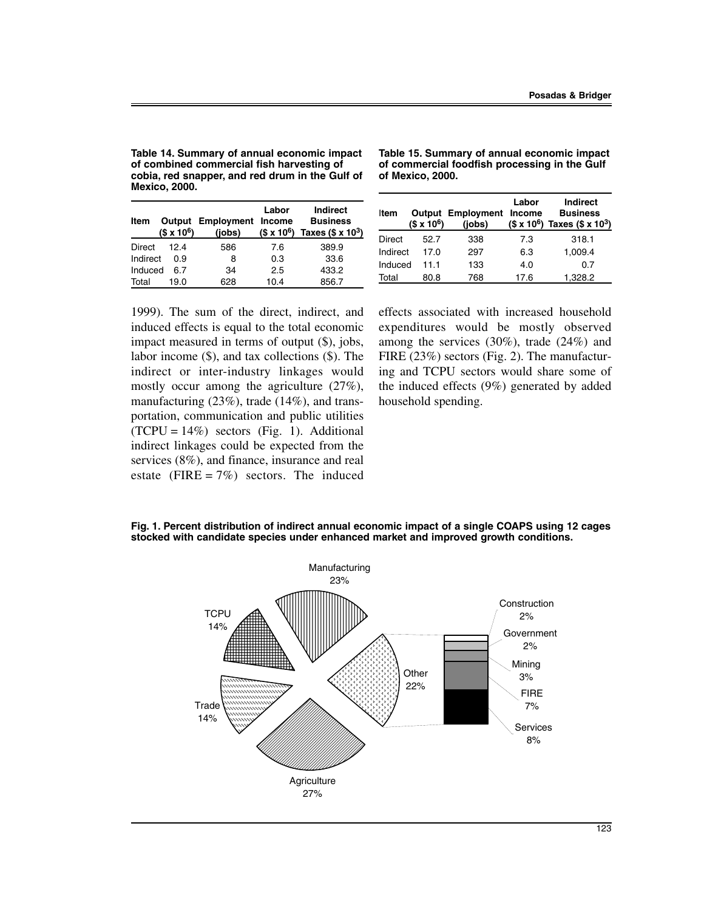**Table 14. Summary of annual economic impact of combined commercial fish harvesting of cobia, red snapper, and red drum in the Gulf of Mexico, 2000.**

| Item     | $($x 10^6)$ | <b>Output Employment Income</b><br>(jobs) | Labor | Indirect<br><b>Business</b><br>$($x 10^6)$ Taxes $($x 10^3)$ |
|----------|-------------|-------------------------------------------|-------|--------------------------------------------------------------|
| Direct   | 124         | 586                                       | 7.6   | 389.9                                                        |
| Indirect | 0.9         | 8                                         | 0.3   | 33.6                                                         |
| Induced  | հ 7         | 34                                        | 2.5   | 433.2                                                        |
| Total    | 19.0        | 628                                       | 10.4  | 856.7                                                        |

**Table 15. Summary of annual economic impact of commercial foodfish processing in the Gulf of Mexico, 2000.**

| Item     | $($ \times 10^6$)$ | <b>Output Employment Income</b><br>(jobs) | Labor | Indirect<br><b>Business</b><br>$($x 10^6)$ Taxes $($x 10^3)$ |
|----------|--------------------|-------------------------------------------|-------|--------------------------------------------------------------|
| Direct   | 52.7               | 338                                       | 7.3   | 318.1                                                        |
| Indirect | 17.0               | 297                                       | 6.3   | 1.009.4                                                      |
| Induced  | 11.1               | 133                                       | 4.0   | 0.7                                                          |
| Total    | 80.8               | 768                                       | 17.6  | 1.328.2                                                      |

1999). The sum of the direct, indirect, and induced effects is equal to the total economic impact measured in terms of output (\$), jobs, labor income (\$), and tax collections (\$). The indirect or inter-industry linkages would mostly occur among the agriculture (27%), manufacturing (23%), trade (14%), and transportation, communication and public utilities  $(TCPU = 14\%)$  sectors (Fig. 1). Additional indirect linkages could be expected from the services (8%), and finance, insurance and real estate (FIRE =  $7\%$ ) sectors. The induced effects associated with increased household expenditures would be mostly observed among the services (30%), trade (24%) and FIRE (23%) sectors (Fig. 2). The manufacturing and TCPU sectors would share some of the induced effects (9%) generated by added household spending.

**Fig. 1. Percent distribution of indirect annual economic impact of a single COAPS using 12 cages stocked with candidate species under enhanced market and improved growth conditions.**

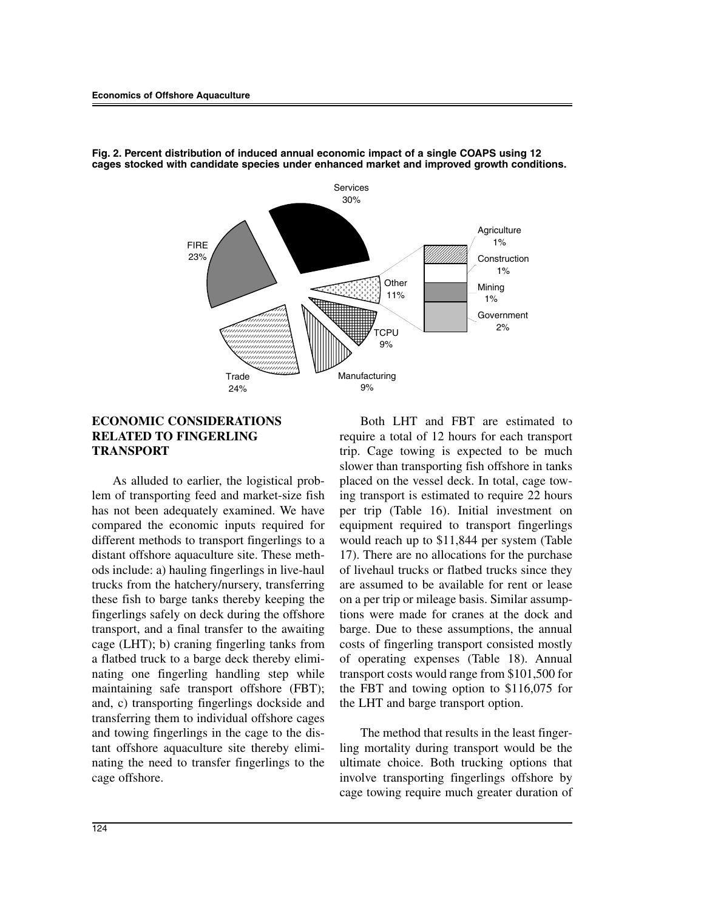

**Fig. 2. Percent distribution of induced annual economic impact of a single COAPS using 12 cages stocked with candidate species under enhanced market and improved growth conditions.**

## **ECONOMIC CONSIDERATIONS RELATED TO FINGERLING TRANSPORT**

As alluded to earlier, the logistical problem of transporting feed and market-size fish has not been adequately examined. We have compared the economic inputs required for different methods to transport fingerlings to a distant offshore aquaculture site. These methods include: a) hauling fingerlings in live-haul trucks from the hatchery/nursery, transferring these fish to barge tanks thereby keeping the fingerlings safely on deck during the offshore transport, and a final transfer to the awaiting cage (LHT); b) craning fingerling tanks from a flatbed truck to a barge deck thereby eliminating one fingerling handling step while maintaining safe transport offshore (FBT); and, c) transporting fingerlings dockside and transferring them to individual offshore cages and towing fingerlings in the cage to the distant offshore aquaculture site thereby eliminating the need to transfer fingerlings to the cage offshore.

Both LHT and FBT are estimated to require a total of 12 hours for each transport trip. Cage towing is expected to be much slower than transporting fish offshore in tanks placed on the vessel deck. In total, cage towing transport is estimated to require 22 hours per trip (Table 16). Initial investment on equipment required to transport fingerlings would reach up to \$11,844 per system (Table 17). There are no allocations for the purchase of livehaul trucks or flatbed trucks since they are assumed to be available for rent or lease on a per trip or mileage basis. Similar assumptions were made for cranes at the dock and barge. Due to these assumptions, the annual costs of fingerling transport consisted mostly of operating expenses (Table 18). Annual transport costs would range from \$101,500 for the FBT and towing option to \$116,075 for the LHT and barge transport option.

The method that results in the least fingerling mortality during transport would be the ultimate choice. Both trucking options that involve transporting fingerlings offshore by cage towing require much greater duration of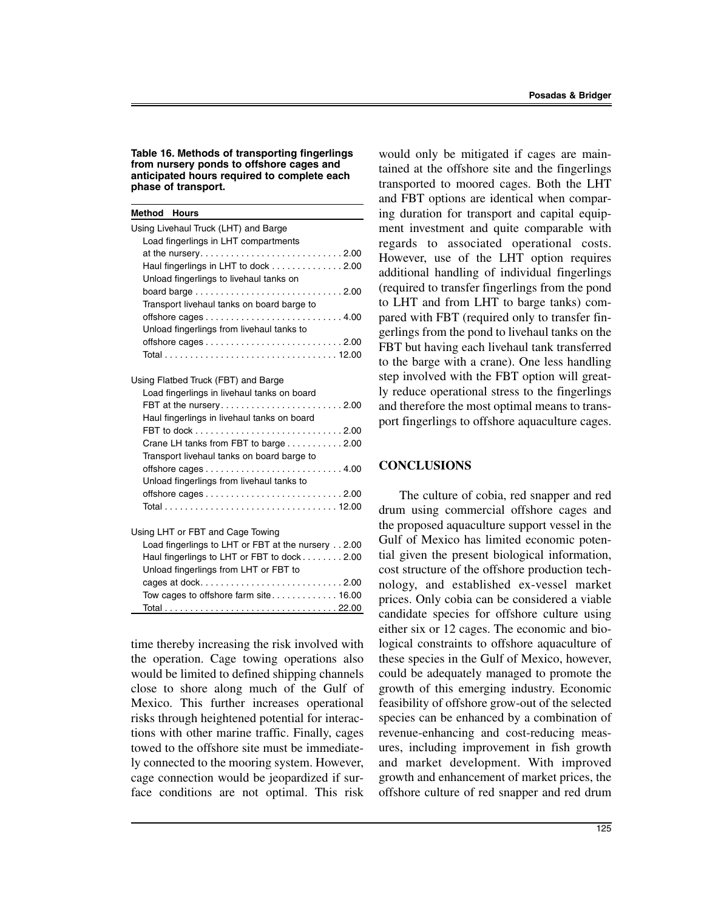**Table 16. Methods of transporting fingerlings from nursery ponds to offshore cages and anticipated hours required to complete each phase of transport.**

| <b>Method Hours</b>                                                           |
|-------------------------------------------------------------------------------|
| Using Livehaul Truck (LHT) and Barge                                          |
| Load fingerlings in LHT compartments                                          |
| at the nursery2.00                                                            |
| Haul fingerlings in LHT to dock 2.00                                          |
| Unload fingerlings to livehaul tanks on                                       |
|                                                                               |
| Transport livehaul tanks on board barge to                                    |
|                                                                               |
| Unload fingerlings from livehaul tanks to                                     |
| offshore cages $\dots\dots\dots\dots\dots\dots\dots\dots\dots$ . 2.00         |
|                                                                               |
|                                                                               |
| Using Flatbed Truck (FBT) and Barge                                           |
| Load fingerlings in livehaul tanks on board                                   |
| FBT at the nursery2.00                                                        |
| Haul fingerlings in livehaul tanks on board                                   |
| Crane LH tanks from FBT to barge 2.00                                         |
| Transport livehaul tanks on board barge to                                    |
|                                                                               |
| Unload fingerlings from livehaul tanks to                                     |
| offshore cages $\ldots \ldots \ldots \ldots \ldots \ldots \ldots \ldots 2.00$ |
|                                                                               |
|                                                                               |
| Using LHT or FBT and Cage Towing                                              |
| Load fingerlings to LHT or FBT at the nursery 2.00                            |
| Haul fingerlings to LHT or FBT to dock 2.00                                   |
| Unload fingerlings from LHT or FBT to                                         |
| cages at dock2.00                                                             |
|                                                                               |
|                                                                               |

time thereby increasing the risk involved with the operation. Cage towing operations also would be limited to defined shipping channels close to shore along much of the Gulf of Mexico. This further increases operational risks through heightened potential for interactions with other marine traffic. Finally, cages towed to the offshore site must be immediately connected to the mooring system. However, cage connection would be jeopardized if surface conditions are not optimal. This risk

would only be mitigated if cages are maintained at the offshore site and the fingerlings transported to moored cages. Both the LHT and FBT options are identical when comparing duration for transport and capital equipment investment and quite comparable with regards to associated operational costs. However, use of the LHT option requires additional handling of individual fingerlings (required to transfer fingerlings from the pond to LHT and from LHT to barge tanks) compared with FBT (required only to transfer fingerlings from the pond to livehaul tanks on the FBT but having each livehaul tank transferred to the barge with a crane). One less handling step involved with the FBT option will greatly reduce operational stress to the fingerlings and therefore the most optimal means to transport fingerlings to offshore aquaculture cages.

#### **CONCLUSIONS**

The culture of cobia, red snapper and red drum using commercial offshore cages and the proposed aquaculture support vessel in the Gulf of Mexico has limited economic potential given the present biological information, cost structure of the offshore production technology, and established ex-vessel market prices. Only cobia can be considered a viable candidate species for offshore culture using either six or 12 cages. The economic and biological constraints to offshore aquaculture of these species in the Gulf of Mexico, however, could be adequately managed to promote the growth of this emerging industry. Economic feasibility of offshore grow-out of the selected species can be enhanced by a combination of revenue-enhancing and cost-reducing measures, including improvement in fish growth and market development. With improved growth and enhancement of market prices, the offshore culture of red snapper and red drum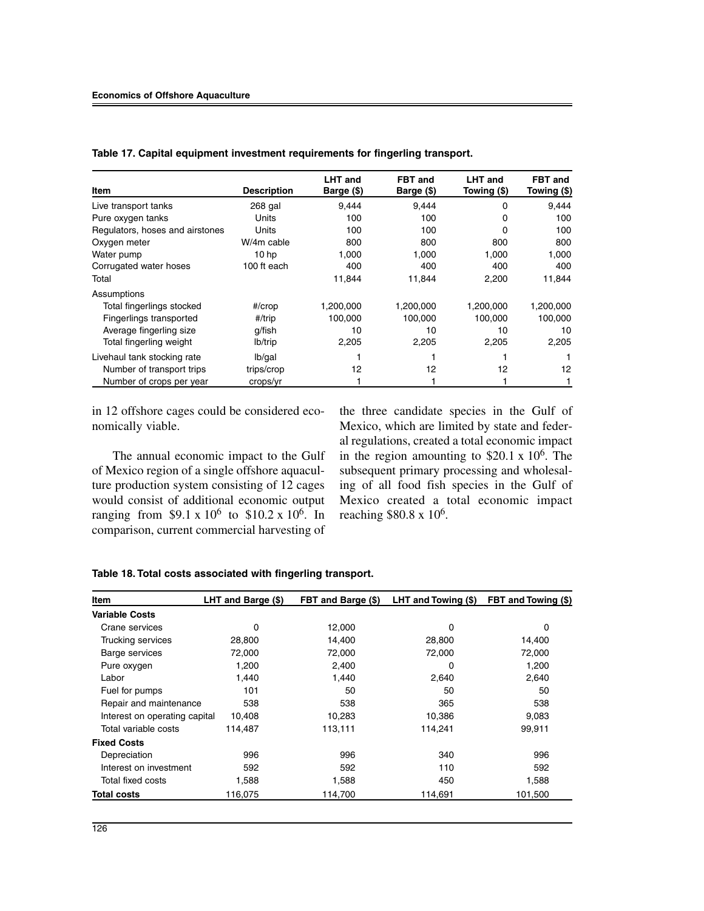|                                 |                    | <b>LHT</b> and | FBT and    | <b>LHT</b> and | <b>FBT</b> and |
|---------------------------------|--------------------|----------------|------------|----------------|----------------|
| <b>Item</b>                     | <b>Description</b> | Barge (\$)     | Barge (\$) | Towing (\$)    | Towing (\$)    |
| Live transport tanks            | 268 gal            | 9.444          | 9.444      | 0              | 9,444          |
| Pure oxygen tanks               | Units              | 100            | 100        | 0              | 100            |
| Regulators, hoses and airstones | Units              | 100            | 100        | 0              | 100            |
| Oxygen meter                    | W/4m cable         | 800            | 800        | 800            | 800            |
| Water pump                      | 10 <sub>hp</sub>   | 1,000          | 1,000      | 1,000          | 1,000          |
| Corrugated water hoses          | 100 ft each        | 400            | 400        | 400            | 400            |
| Total                           |                    | 11,844         | 11,844     | 2,200          | 11,844         |
| Assumptions                     |                    |                |            |                |                |
| Total fingerlings stocked       | $#/$ crop          | 1,200,000      | 1,200,000  | 1,200,000      | 1,200,000      |
| Fingerlings transported         | #/trip             | 100,000        | 100,000    | 100,000        | 100,000        |
| Average fingerling size         | g/fish             | 10             | 10         | 10             | 10             |
| Total fingerling weight         | lb/trip            | 2,205          | 2,205      | 2,205          | 2,205          |
| Livehaul tank stocking rate     | lb/gal             |                |            |                |                |
| Number of transport trips       | trips/crop         | 12             | 12         | 12             | 12             |
| Number of crops per year        | crops/yr           |                |            |                |                |

**Table 17. Capital equipment investment requirements for fingerling transport.**

in 12 offshore cages could be considered economically viable.

The annual economic impact to the Gulf of Mexico region of a single offshore aquaculture production system consisting of 12 cages would consist of additional economic output ranging from \$9.1 x  $10^6$  to \$10.2 x  $10^6$ . In comparison, current commercial harvesting of

the three candidate species in the Gulf of Mexico, which are limited by state and federal regulations, created a total economic impact in the region amounting to  $$20.1 \times 10^6$ . The subsequent primary processing and wholesaling of all food fish species in the Gulf of Mexico created a total economic impact reaching \$80.8 x 10<sup>6</sup>.

| Table 18. Total costs associated with fingerling transport. |  |  |
|-------------------------------------------------------------|--|--|
|-------------------------------------------------------------|--|--|

| Item                          | LHT and Barge (\$) | FBT and Barge (\$) | LHT and Towing (\$) | FBT and Towing (\$) |
|-------------------------------|--------------------|--------------------|---------------------|---------------------|
| <b>Variable Costs</b>         |                    |                    |                     |                     |
| Crane services                | $\Omega$           | 12,000             | 0                   | $\Omega$            |
| Trucking services             | 28,800             | 14,400             | 28,800              | 14,400              |
| Barge services                | 72,000             | 72,000             | 72,000              | 72,000              |
| Pure oxygen                   | 1,200              | 2,400              | 0                   | 1,200               |
| Labor                         | 1,440              | 1.440              | 2,640               | 2,640               |
| Fuel for pumps                | 101                | 50                 | 50                  | 50                  |
| Repair and maintenance        | 538                | 538                | 365                 | 538                 |
| Interest on operating capital | 10,408             | 10,283             | 10,386              | 9,083               |
| Total variable costs          | 114,487            | 113,111            | 114,241             | 99,911              |
| <b>Fixed Costs</b>            |                    |                    |                     |                     |
| Depreciation                  | 996                | 996                | 340                 | 996                 |
| Interest on investment        | 592                | 592                | 110                 | 592                 |
| Total fixed costs             | 1,588              | 1,588              | 450                 | 1,588               |
| <b>Total costs</b>            | 116,075            | 114,700            | 114,691             | 101,500             |